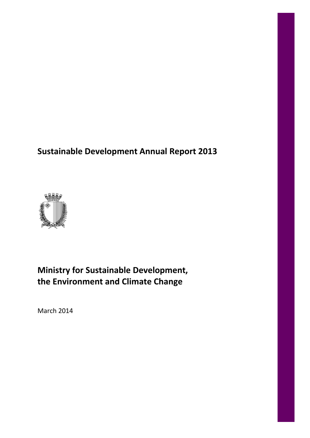# **Sustainable Development Annual Report 2013**



# **Ministry for Sustainable Development, the Environment and Climate Change**

March 2014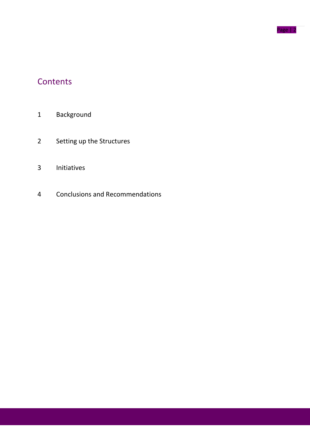

# **Contents**

- Background
- Setting up the Structures
- Initiatives
- Conclusions and Recommendations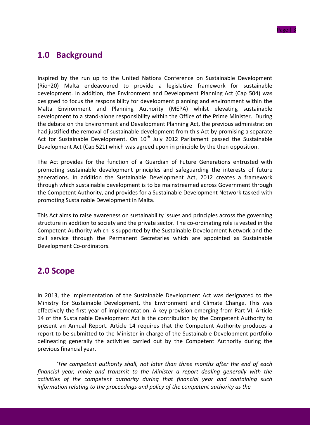## **1.0 Background**

Inspired by the run up to the United Nations Conference on Sustainable Development (Rio+20) Malta endeavoured to provide a legislative framework for sustainable development. In addition, the Environment and Development Planning Act (Cap 504) was designed to focus the responsibility for development planning and environment within the Malta Environment and Planning Authority (MEPA) whilst elevating sustainable development to a stand-alone responsibility within the Office of the Prime Minister. During the debate on the Environment and Development Planning Act, the previous administration had justified the removal of sustainable development from this Act by promising a separate Act for Sustainable Development. On  $10<sup>th</sup>$  July 2012 Parliament passed the Sustainable Development Act (Cap 521) which was agreed upon in principle by the then opposition.

The Act provides for the function of a Guardian of Future Generations entrusted with promoting sustainable development principles and safeguarding the interests of future generations. In addition the Sustainable Development Act, 2012 creates a framework through which sustainable development is to be mainstreamed across Government through the Competent Authority, and provides for a Sustainable Development Network tasked with promoting Sustainable Development in Malta.

This Act aims to raise awareness on sustainability issues and principles across the governing structure in addition to society and the private sector. The co-ordinating role is vested in the Competent Authority which is supported by the Sustainable Development Network and the civil service through the Permanent Secretaries which are appointed as Sustainable Development Co-ordinators.

### **2.0 Scope**

In 2013, the implementation of the Sustainable Development Act was designated to the Ministry for Sustainable Development, the Environment and Climate Change. This was effectively the first year of implementation. A key provision emerging from Part VI, Article 14 of the Sustainable Development Act is the contribution by the Competent Authority to present an Annual Report. Article 14 requires that the Competent Authority produces a report to be submitted to the Minister in charge of the Sustainable Development portfolio delineating generally the activities carried out by the Competent Authority during the previous financial year.

*'The competent authority shall, not later than three months after the end of each financial year, make and transmit to the Minister a report dealing generally with the activities of the competent authority during that financial year and containing such information relating to the proceedings and policy of the competent authority as the*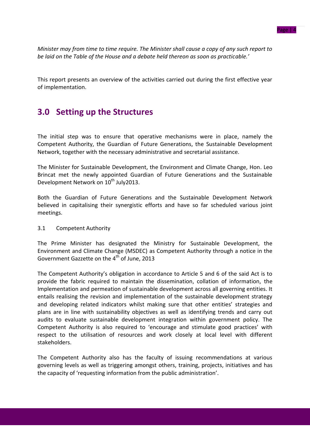*Minister may from time to time require. The Minister shall cause a copy of any such report to be laid on the Table of the House and a debate held thereon as soon as practicable.'*

This report presents an overview of the activities carried out during the first effective year of implementation.

## **3.0 Setting up the Structures**

The initial step was to ensure that operative mechanisms were in place, namely the Competent Authority, the Guardian of Future Generations, the Sustainable Development Network, together with the necessary administrative and secretarial assistance.

The Minister for Sustainable Development, the Environment and Climate Change, Hon. Leo Brincat met the newly appointed Guardian of Future Generations and the Sustainable Development Network on 10<sup>th</sup> July2013.

Both the Guardian of Future Generations and the Sustainable Development Network believed in capitalising their synergistic efforts and have so far scheduled various joint meetings.

#### 3.1 Competent Authority

The Prime Minister has designated the Ministry for Sustainable Development, the Environment and Climate Change (MSDEC) as Competent Authority through a notice in the Government Gazzette on the 4<sup>th</sup> of June, 2013

The Competent Authority's obligation in accordance to Article 5 and 6 of the said Act is to provide the fabric required to maintain the dissemination, collation of information, the Implementation and permeation of sustainable development across all governing entities. It entails realising the revision and implementation of the sustainable development strategy and developing related indicators whilst making sure that other entities' strategies and plans are in line with sustainability objectives as well as identifying trends and carry out audits to evaluate sustainable development integration within government policy. The Competent Authority is also required to 'encourage and stimulate good practices' with respect to the utilisation of resources and work closely at local level with different stakeholders.

The Competent Authority also has the faculty of issuing recommendations at various governing levels as well as triggering amongst others, training, projects, initiatives and has the capacity of 'requesting information from the public administration'.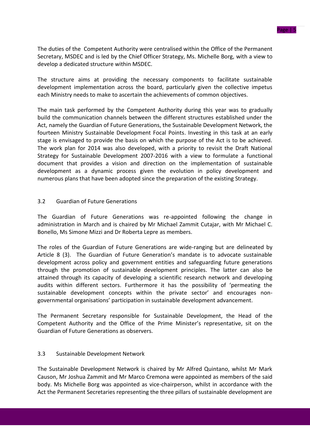The duties of the Competent Authority were centralised within the Office of the Permanent Secretary, MSDEC and is led by the Chief Officer Strategy, Ms. Michelle Borg, with a view to develop a dedicated structure within MSDEC.

The structure aims at providing the necessary components to facilitate sustainable development implementation across the board, particularly given the collective impetus each Ministry needs to make to ascertain the achievements of common objectives.

The main task performed by the Competent Authority during this year was to gradually build the communication channels between the different structures established under the Act, namely the Guardian of Future Generations, the Sustainable Development Network, the fourteen Ministry Sustainable Development Focal Points. Investing in this task at an early stage is envisaged to provide the basis on which the purpose of the Act is to be achieved. The work plan for 2014 was also developed, with a priority to revisit the Draft National Strategy for Sustainable Development 2007-2016 with a view to formulate a functional document that provides a vision and direction on the implementation of sustainable development as a dynamic process given the evolution in policy development and numerous plans that have been adopted since the preparation of the existing Strategy.

#### 3.2 Guardian of Future Generations

The Guardian of Future Generations was re-appointed following the change in administration in March and is chaired by Mr Michael Zammit Cutajar, with Mr Michael C. Bonello, Ms Simone Mizzi and Dr Roberta Lepre as members.

The roles of the Guardian of Future Generations are wide-ranging but are delineated by Article 8 (3). The Guardian of Future Generation's mandate is to advocate sustainable development across policy and government entities and safeguarding future generations through the promotion of sustainable development principles. The latter can also be attained through its capacity of developing a scientific research network and developing audits within different sectors. Furthermore it has the possibility of 'permeating the sustainable development concepts within the private sector' and encourages nongovernmental organisations' participation in sustainable development advancement.

The Permanent Secretary responsible for Sustainable Development, the Head of the Competent Authority and the Office of the Prime Minister's representative, sit on the Guardian of Future Generations as observers.

#### 3.3 Sustainable Development Network

The Sustainable Development Network is chaired by Mr Alfred Quintano, whilst Mr Mark Causon, Mr Joshua Zammit and Mr Marco Cremona were appointed as members of the said body. Ms Michelle Borg was appointed as vice-chairperson, whilst in accordance with the Act the Permanent Secretaries representing the three pillars of sustainable development are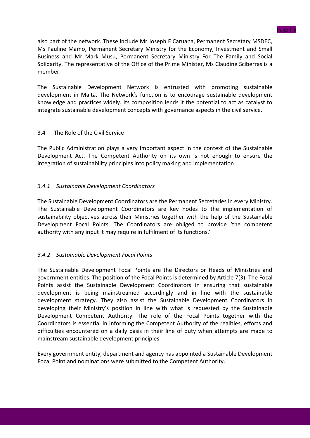Page | 6

also part of the network. These include Mr Joseph F Caruana, Permanent Secretary MSDEC, Ms Pauline Mamo, Permanent Secretary Ministry for the Economy, Investment and Small Business and Mr Mark Musu, Permanent Secretary Ministry For The Family and Social Solidarity. The representative of the Office of the Prime Minister, Ms Claudine Sciberras is a member.

The Sustainable Development Network is entrusted with promoting sustainable development in Malta. The Network's function is to encourage sustainable development knowledge and practices widely. Its composition lends it the potential to act as catalyst to integrate sustainable development concepts with governance aspects in the civil service.

### 3.4 The Role of the Civil Service

The Public Administration plays a very important aspect in the context of the Sustainable Development Act. The Competent Authority on its own is not enough to ensure the integration of sustainability principles into policy making and implementation.

### *3.4.1 Sustainable Development Coordinators*

The Sustainable Development Coordinators are the Permanent Secretaries in every Ministry. The Sustainable Development Coordinators are key nodes to the implementation of sustainability objectives across their Ministries together with the help of the Sustainable Development Focal Points. The Coordinators are obliged to provide 'the competent authority with any input it may require in fulfilment of its functions.'

### *3.4.2 Sustainable Development Focal Points*

The Sustainable Development Focal Points are the Directors or Heads of Ministries and government entities. The position of the Focal Points is determined by Article 7(3). The Focal Points assist the Sustainable Development Coordinators in ensuring that sustainable development is being mainstreamed accordingly and in line with the sustainable development strategy. They also assist the Sustainable Development Coordinators in developing their Ministry's position in line with what is requested by the Sustainable Development Competent Authority. The role of the Focal Points together with the Coordinators is essential in informing the Competent Authority of the realities, efforts and difficulties encountered on a daily basis in their line of duty when attempts are made to mainstream sustainable development principles.

Every government entity, department and agency has appointed a Sustainable Development Focal Point and nominations were submitted to the Competent Authority.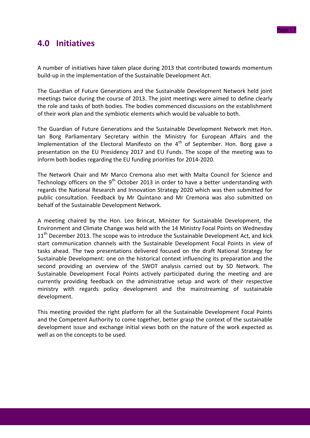

## **4.0 Initiatives**

A number of initiatives have taken place during 2013 that contributed towards momentum build-up in the implementation of the Sustainable Development Act.

The Guardian of Future Generations and the Sustainable Development Network held joint meetings twice during the course of 2013. The joint meetings were aimed to define clearly the role and tasks of both bodies. The bodies commenced discussions on the establishment of their work plan and the symbiotic elements which would be valuable to both.

The Guardian of Future Generations and the Sustainable Development Network met Hon. Ian Borg Parliamentary Secretary within the Ministry for European Affairs and the Implementation of the Electoral Manifesto on the  $4<sup>th</sup>$  of September. Hon. Borg gave a presentation on the EU Presidency 2017 and EU Funds. The scope of the meeting was to inform both bodies regarding the EU funding priorities for 2014-2020.

The Network Chair and Mr Marco Cremona also met with Malta Council for Science and Technology officers on the  $9<sup>th</sup>$  October 2013 in order to have a better understanding with regards the National Research and Innovation Strategy 2020 which was then submitted for public consultation. Feedback by Mr Quintano and Mr Cremona was also submitted on behalf of the Sustainable Development Network.

A meeting chaired by the Hon. Leo Brincat, Minister for Sustainable Development, the Environment and Climate Change was held with the 14 Ministry Focal Points on Wednesday 11<sup>th</sup> December 2013. The scope was to introduce the Sustainable Development Act, and kick start communication channels with the Sustainable Development Focal Points in view of tasks ahead. The two presentations delivered focused on the draft National Strategy for Sustainable Development: one on the historical context influencing its preparation and the second providing an overview of the SWOT analysis carried out by SD Network. The Sustainable Development Focal Points actively participated during the meeting and are currently providing feedback on the administrative setup and work of their respective ministry with regards policy development and the mainstreaming of sustainable development.

This meeting provided the right platform for all the Sustainable Development Focal Points and the Competent Authority to come together, better grasp the context of the sustainable development issue and exchange initial views both on the nature of the work expected as well as on the concepts to be used.